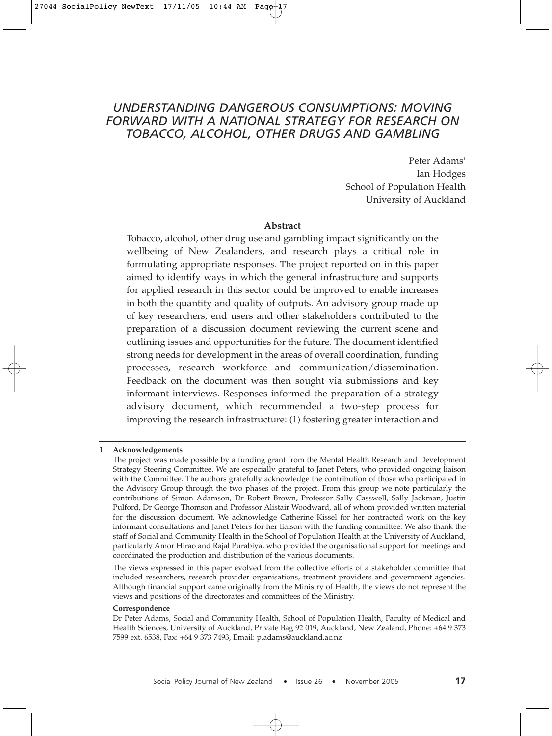# *UNDERSTANDING DANGEROUS CONSUMPTIONS: MOVING FORWARD WITH A NATIONAL STRATEGY FOR RESEARCH ON TOBACCO, ALCOHOL, OTHER DRUGS AND GAMBLING*

Peter Adams<sup>1</sup> Ian Hodges School of Population Health University of Auckland

#### **Abstract**

Tobacco, alcohol, other drug use and gambling impact significantly on the wellbeing of New Zealanders, and research plays a critical role in formulating appropriate responses. The project reported on in this paper aimed to identify ways in which the general infrastructure and supports for applied research in this sector could be improved to enable increases in both the quantity and quality of outputs. An advisory group made up of key researchers, end users and other stakeholders contributed to the preparation of a discussion document reviewing the current scene and outlining issues and opportunities for the future. The document identified strong needs for development in the areas of overall coordination, funding processes, research workforce and communication/dissemination. Feedback on the document was then sought via submissions and key informant interviews. Responses informed the preparation of a strategy advisory document, which recommended a two-step process for improving the research infrastructure: (1) fostering greater interaction and

The views expressed in this paper evolved from the collective efforts of a stakeholder committee that included researchers, research provider organisations, treatment providers and government agencies. Although financial support came originally from the Ministry of Health, the views do not represent the views and positions of the directorates and committees of the Ministry.

#### **Correspondence**

<sup>1</sup> **Acknowledgements**

The project was made possible by a funding grant from the Mental Health Research and Development Strategy Steering Committee. We are especially grateful to Janet Peters, who provided ongoing liaison with the Committee. The authors gratefully acknowledge the contribution of those who participated in the Advisory Group through the two phases of the project. From this group we note particularly the contributions of Simon Adamson, Dr Robert Brown, Professor Sally Casswell, Sally Jackman, Justin Pulford, Dr George Thomson and Professor Alistair Woodward, all of whom provided written material for the discussion document. We acknowledge Catherine Kissel for her contracted work on the key informant consultations and Janet Peters for her liaison with the funding committee. We also thank the staff of Social and Community Health in the School of Population Health at the University of Auckland, particularly Amor Hirao and Rajal Purabiya, who provided the organisational support for meetings and coordinated the production and distribution of the various documents.

Dr Peter Adams, Social and Community Health, School of Population Health, Faculty of Medical and Health Sciences, University of Auckland, Private Bag 92 019, Auckland, New Zealand, Phone: +64 9 373 7599 ext. 6538, Fax: +64 9 373 7493, Email: p.adams@auckland.ac.nz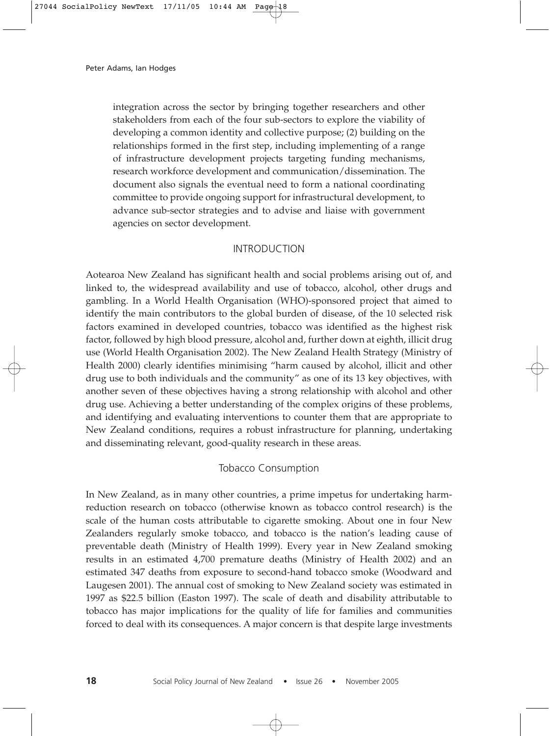integration across the sector by bringing together researchers and other stakeholders from each of the four sub-sectors to explore the viability of developing a common identity and collective purpose; (2) building on the relationships formed in the first step, including implementing of a range of infrastructure development projects targeting funding mechanisms, research workforce development and communication/dissemination. The document also signals the eventual need to form a national coordinating committee to provide ongoing support for infrastructural development, to advance sub-sector strategies and to advise and liaise with government agencies on sector development.

### INTRODUCTION

Aotearoa New Zealand has significant health and social problems arising out of, and linked to, the widespread availability and use of tobacco, alcohol, other drugs and gambling. In a World Health Organisation (WHO)-sponsored project that aimed to identify the main contributors to the global burden of disease, of the 10 selected risk factors examined in developed countries, tobacco was identified as the highest risk factor, followed by high blood pressure, alcohol and, further down at eighth, illicit drug use (World Health Organisation 2002). The New Zealand Health Strategy (Ministry of Health 2000) clearly identifies minimising "harm caused by alcohol, illicit and other drug use to both individuals and the community" as one of its 13 key objectives, with another seven of these objectives having a strong relationship with alcohol and other drug use. Achieving a better understanding of the complex origins of these problems, and identifying and evaluating interventions to counter them that are appropriate to New Zealand conditions, requires a robust infrastructure for planning, undertaking and disseminating relevant, good-quality research in these areas.

#### Tobacco Consumption

In New Zealand, as in many other countries, a prime impetus for undertaking harmreduction research on tobacco (otherwise known as tobacco control research) is the scale of the human costs attributable to cigarette smoking. About one in four New Zealanders regularly smoke tobacco, and tobacco is the nation's leading cause of preventable death (Ministry of Health 1999). Every year in New Zealand smoking results in an estimated 4,700 premature deaths (Ministry of Health 2002) and an estimated 347 deaths from exposure to second-hand tobacco smoke (Woodward and Laugesen 2001). The annual cost of smoking to New Zealand society was estimated in 1997 as \$22.5 billion (Easton 1997). The scale of death and disability attributable to tobacco has major implications for the quality of life for families and communities forced to deal with its consequences. A major concern is that despite large investments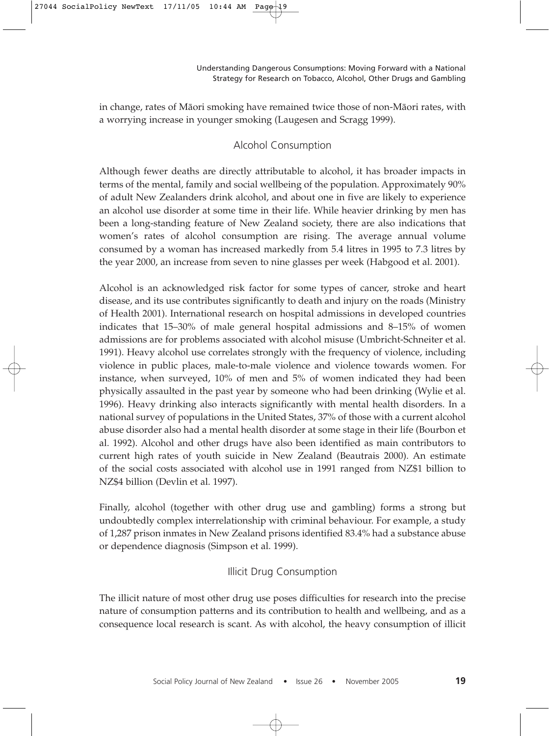in change, rates of Mäori smoking have remained twice those of non-Mäori rates, with a worrying increase in younger smoking (Laugesen and Scragg 1999).

# Alcohol Consumption

Although fewer deaths are directly attributable to alcohol, it has broader impacts in terms of the mental, family and social wellbeing of the population. Approximately 90% of adult New Zealanders drink alcohol, and about one in five are likely to experience an alcohol use disorder at some time in their life. While heavier drinking by men has been a long-standing feature of New Zealand society, there are also indications that women's rates of alcohol consumption are rising. The average annual volume consumed by a woman has increased markedly from 5.4 litres in 1995 to 7.3 litres by the year 2000, an increase from seven to nine glasses per week (Habgood et al. 2001).

Alcohol is an acknowledged risk factor for some types of cancer, stroke and heart disease, and its use contributes significantly to death and injury on the roads (Ministry of Health 2001). International research on hospital admissions in developed countries indicates that 15–30% of male general hospital admissions and 8–15% of women admissions are for problems associated with alcohol misuse (Umbricht-Schneiter et al. 1991). Heavy alcohol use correlates strongly with the frequency of violence, including violence in public places, male-to-male violence and violence towards women. For instance, when surveyed, 10% of men and 5% of women indicated they had been physically assaulted in the past year by someone who had been drinking (Wylie et al. 1996). Heavy drinking also interacts significantly with mental health disorders. In a national survey of populations in the United States, 37% of those with a current alcohol abuse disorder also had a mental health disorder at some stage in their life (Bourbon et al. 1992). Alcohol and other drugs have also been identified as main contributors to current high rates of youth suicide in New Zealand (Beautrais 2000). An estimate of the social costs associated with alcohol use in 1991 ranged from NZ\$1 billion to NZ\$4 billion (Devlin et al. 1997).

Finally, alcohol (together with other drug use and gambling) forms a strong but undoubtedly complex interrelationship with criminal behaviour. For example, a study of 1,287 prison inmates in New Zealand prisons identified 83.4% had a substance abuse or dependence diagnosis (Simpson et al. 1999).

# Illicit Drug Consumption

The illicit nature of most other drug use poses difficulties for research into the precise nature of consumption patterns and its contribution to health and wellbeing, and as a consequence local research is scant. As with alcohol, the heavy consumption of illicit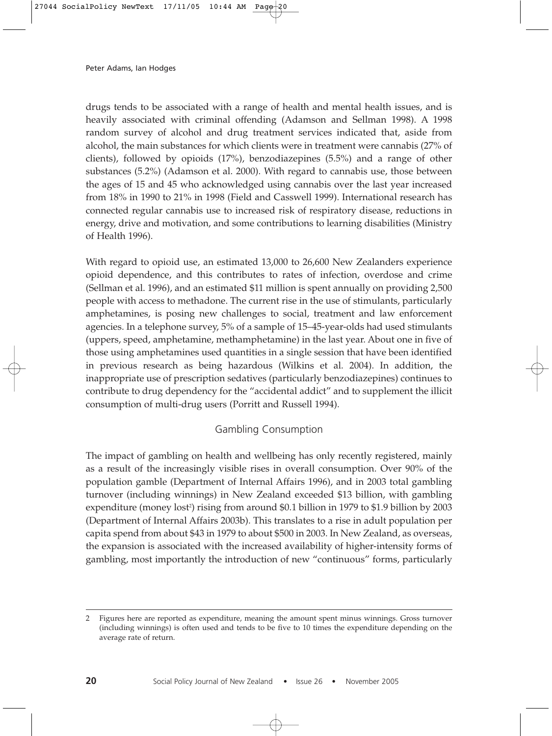drugs tends to be associated with a range of health and mental health issues, and is heavily associated with criminal offending (Adamson and Sellman 1998). A 1998 random survey of alcohol and drug treatment services indicated that, aside from alcohol, the main substances for which clients were in treatment were cannabis (27% of clients), followed by opioids (17%), benzodiazepines (5.5%) and a range of other substances (5.2%) (Adamson et al. 2000). With regard to cannabis use, those between the ages of 15 and 45 who acknowledged using cannabis over the last year increased from 18% in 1990 to 21% in 1998 (Field and Casswell 1999). International research has connected regular cannabis use to increased risk of respiratory disease, reductions in energy, drive and motivation, and some contributions to learning disabilities (Ministry of Health 1996).

With regard to opioid use, an estimated 13,000 to 26,600 New Zealanders experience opioid dependence, and this contributes to rates of infection, overdose and crime (Sellman et al. 1996), and an estimated \$11 million is spent annually on providing 2,500 people with access to methadone. The current rise in the use of stimulants, particularly amphetamines, is posing new challenges to social, treatment and law enforcement agencies. In a telephone survey, 5% of a sample of 15–45-year-olds had used stimulants (uppers, speed, amphetamine, methamphetamine) in the last year. About one in five of those using amphetamines used quantities in a single session that have been identified in previous research as being hazardous (Wilkins et al. 2004). In addition, the inappropriate use of prescription sedatives (particularly benzodiazepines) continues to contribute to drug dependency for the "accidental addict" and to supplement the illicit consumption of multi-drug users (Porritt and Russell 1994).

# Gambling Consumption

The impact of gambling on health and wellbeing has only recently registered, mainly as a result of the increasingly visible rises in overall consumption. Over 90% of the population gamble (Department of Internal Affairs 1996), and in 2003 total gambling turnover (including winnings) in New Zealand exceeded \$13 billion, with gambling expenditure (money lost²) rising from around \$0.1 billion in 1979 to \$1.9 billion by 2003 (Department of Internal Affairs 2003b). This translates to a rise in adult population per capita spend from about \$43 in 1979 to about \$500 in 2003. In New Zealand, as overseas, the expansion is associated with the increased availability of higher-intensity forms of gambling, most importantly the introduction of new "continuous" forms, particularly

<sup>2</sup> Figures here are reported as expenditure, meaning the amount spent minus winnings. Gross turnover (including winnings) is often used and tends to be five to 10 times the expenditure depending on the average rate of return.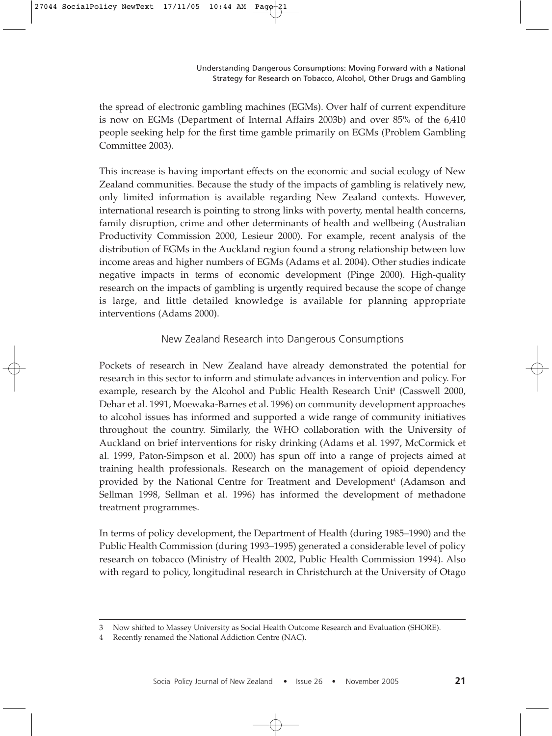the spread of electronic gambling machines (EGMs). Over half of current expenditure is now on EGMs (Department of Internal Affairs 2003b) and over 85% of the 6,410 people seeking help for the first time gamble primarily on EGMs (Problem Gambling Committee 2003).

This increase is having important effects on the economic and social ecology of New Zealand communities. Because the study of the impacts of gambling is relatively new, only limited information is available regarding New Zealand contexts. However, international research is pointing to strong links with poverty, mental health concerns, family disruption, crime and other determinants of health and wellbeing (Australian Productivity Commission 2000, Lesieur 2000). For example, recent analysis of the distribution of EGMs in the Auckland region found a strong relationship between low income areas and higher numbers of EGMs (Adams et al. 2004). Other studies indicate negative impacts in terms of economic development (Pinge 2000). High-quality research on the impacts of gambling is urgently required because the scope of change is large, and little detailed knowledge is available for planning appropriate interventions (Adams 2000).

# New Zealand Research into Dangerous Consumptions

Pockets of research in New Zealand have already demonstrated the potential for research in this sector to inform and stimulate advances in intervention and policy. For example, research by the Alcohol and Public Health Research Unit<sup>3</sup> (Casswell 2000, Dehar et al. 1991, Moewaka-Barnes et al. 1996) on community development approaches to alcohol issues has informed and supported a wide range of community initiatives throughout the country. Similarly, the WHO collaboration with the University of Auckland on brief interventions for risky drinking (Adams et al. 1997, McCormick et al. 1999, Paton-Simpson et al. 2000) has spun off into a range of projects aimed at training health professionals. Research on the management of opioid dependency provided by the National Centre for Treatment and Development<sup>4</sup> (Adamson and Sellman 1998, Sellman et al. 1996) has informed the development of methadone treatment programmes.

In terms of policy development, the Department of Health (during 1985–1990) and the Public Health Commission (during 1993–1995) generated a considerable level of policy research on tobacco (Ministry of Health 2002, Public Health Commission 1994). Also with regard to policy, longitudinal research in Christchurch at the University of Otago

<sup>3</sup> Now shifted to Massey University as Social Health Outcome Research and Evaluation (SHORE).

<sup>4</sup> Recently renamed the National Addiction Centre (NAC).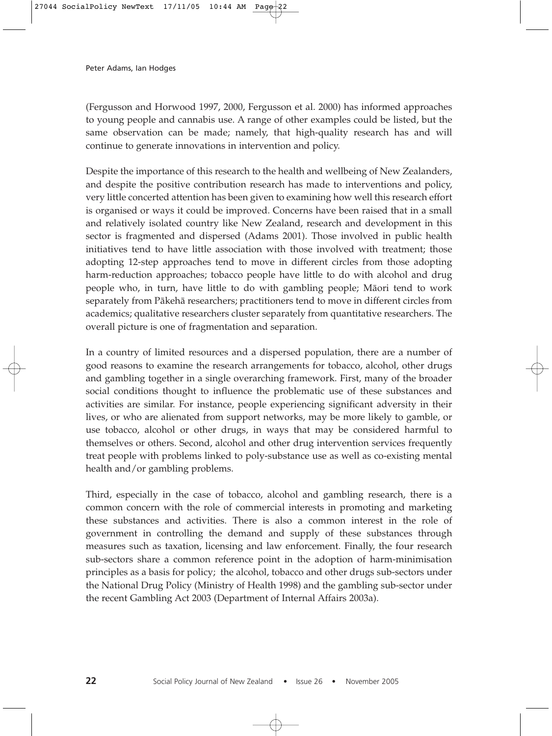(Fergusson and Horwood 1997, 2000, Fergusson et al. 2000) has informed approaches to young people and cannabis use. A range of other examples could be listed, but the same observation can be made; namely, that high-quality research has and will continue to generate innovations in intervention and policy.

Despite the importance of this research to the health and wellbeing of New Zealanders, and despite the positive contribution research has made to interventions and policy, very little concerted attention has been given to examining how well this research effort is organised or ways it could be improved. Concerns have been raised that in a small and relatively isolated country like New Zealand, research and development in this sector is fragmented and dispersed (Adams 2001). Those involved in public health initiatives tend to have little association with those involved with treatment; those adopting 12-step approaches tend to move in different circles from those adopting harm-reduction approaches; tobacco people have little to do with alcohol and drug people who, in turn, have little to do with gambling people; Mäori tend to work separately from Päkehä researchers; practitioners tend to move in different circles from academics; qualitative researchers cluster separately from quantitative researchers. The overall picture is one of fragmentation and separation.

In a country of limited resources and a dispersed population, there are a number of good reasons to examine the research arrangements for tobacco, alcohol, other drugs and gambling together in a single overarching framework. First, many of the broader social conditions thought to influence the problematic use of these substances and activities are similar. For instance, people experiencing significant adversity in their lives, or who are alienated from support networks, may be more likely to gamble, or use tobacco, alcohol or other drugs, in ways that may be considered harmful to themselves or others. Second, alcohol and other drug intervention services frequently treat people with problems linked to poly-substance use as well as co-existing mental health and/or gambling problems.

Third, especially in the case of tobacco, alcohol and gambling research, there is a common concern with the role of commercial interests in promoting and marketing these substances and activities. There is also a common interest in the role of government in controlling the demand and supply of these substances through measures such as taxation, licensing and law enforcement. Finally, the four research sub-sectors share a common reference point in the adoption of harm-minimisation principles as a basis for policy; the alcohol, tobacco and other drugs sub-sectors under the National Drug Policy (Ministry of Health 1998) and the gambling sub-sector under the recent Gambling Act 2003 (Department of Internal Affairs 2003a).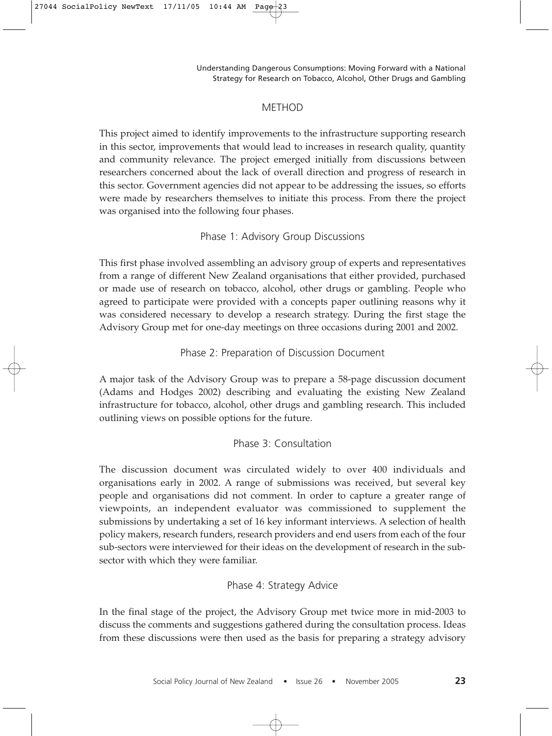# METHOD

This project aimed to identify improvements to the infrastructure supporting research in this sector, improvements that would lead to increases in research quality, quantity and community relevance. The project emerged initially from discussions between researchers concerned about the lack of overall direction and progress of research in this sector. Government agencies did not appear to be addressing the issues, so efforts were made by researchers themselves to initiate this process. From there the project was organised into the following four phases.

# Phase 1: Advisory Group Discussions

This first phase involved assembling an advisory group of experts and representatives from a range of different New Zealand organisations that either provided, purchased or made use of research on tobacco, alcohol, other drugs or gambling. People who agreed to participate were provided with a concepts paper outlining reasons why it was considered necessary to develop a research strategy. During the first stage the Advisory Group met for one-day meetings on three occasions during 2001 and 2002.

# Phase 2: Preparation of Discussion Document

A major task of the Advisory Group was to prepare a 58-page discussion document (Adams and Hodges 2002) describing and evaluating the existing New Zealand infrastructure for tobacco, alcohol, other drugs and gambling research. This included outlining views on possible options for the future.

# Phase 3: Consultation

The discussion document was circulated widely to over 400 individuals and organisations early in 2002. A range of submissions was received, but several key people and organisations did not comment. In order to capture a greater range of viewpoints, an independent evaluator was commissioned to supplement the submissions by undertaking a set of 16 key informant interviews. A selection of health policy makers, research funders, research providers and end users from each of the four sub-sectors were interviewed for their ideas on the development of research in the subsector with which they were familiar.

# Phase 4: Strategy Advice

In the final stage of the project, the Advisory Group met twice more in mid-2003 to discuss the comments and suggestions gathered during the consultation process. Ideas from these discussions were then used as the basis for preparing a strategy advisory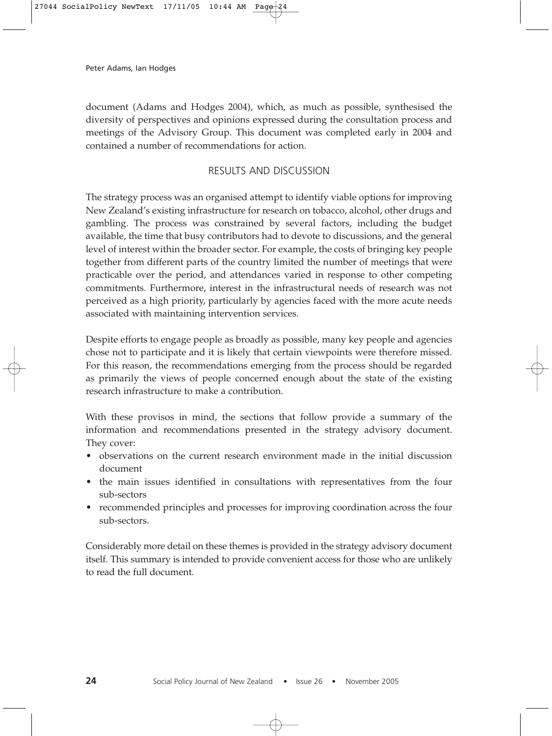document (Adams and Hodges 2004), which, as much as possible, synthesised the diversity of perspectives and opinions expressed during the consultation process and meetings of the Advisory Group. This document was completed early in 2004 and contained a number of recommendations for action.

# RESULTS AND DISCUSSION

The strategy process was an organised attempt to identify viable options for improving New Zealand's existing infrastructure for research on tobacco, alcohol, other drugs and gambling. The process was constrained by several factors, including the budget available, the time that busy contributors had to devote to discussions, and the general level of interest within the broader sector. For example, the costs of bringing key people together from different parts of the country limited the number of meetings that were practicable over the period, and attendances varied in response to other competing commitments. Furthermore, interest in the infrastructural needs of research was not perceived as a high priority, particularly by agencies faced with the more acute needs associated with maintaining intervention services.

Despite efforts to engage people as broadly as possible, many key people and agencies chose not to participate and it is likely that certain viewpoints were therefore missed. For this reason, the recommendations emerging from the process should be regarded as primarily the views of people concerned enough about the state of the existing research infrastructure to make a contribution.

With these provisos in mind, the sections that follow provide a summary of the information and recommendations presented in the strategy advisory document. They cover:

- observations on the current research environment made in the initial discussion document
- the main issues identified in consultations with representatives from the four sub-sectors
- recommended principles and processes for improving coordination across the four sub-sectors.

Considerably more detail on these themes is provided in the strategy advisory document itself. This summary is intended to provide convenient access for those who are unlikely to read the full document.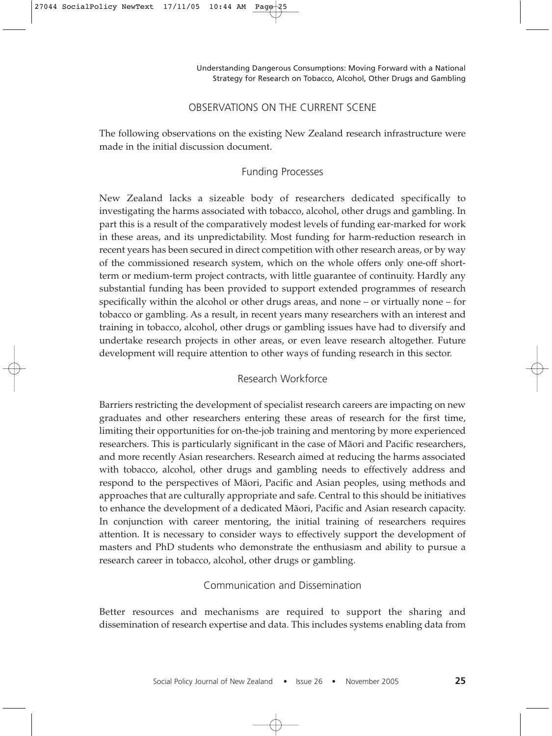### OBSERVATIONS ON THE CURRENT SCENE

The following observations on the existing New Zealand research infrastructure were made in the initial discussion document.

# Funding Processes

New Zealand lacks a sizeable body of researchers dedicated specifically to investigating the harms associated with tobacco, alcohol, other drugs and gambling. In part this is a result of the comparatively modest levels of funding ear-marked for work in these areas, and its unpredictability. Most funding for harm-reduction research in recent years has been secured in direct competition with other research areas, or by way of the commissioned research system, which on the whole offers only one-off shortterm or medium-term project contracts, with little guarantee of continuity. Hardly any substantial funding has been provided to support extended programmes of research specifically within the alcohol or other drugs areas, and none – or virtually none – for tobacco or gambling. As a result, in recent years many researchers with an interest and training in tobacco, alcohol, other drugs or gambling issues have had to diversify and undertake research projects in other areas, or even leave research altogether. Future development will require attention to other ways of funding research in this sector.

# Research Workforce

Barriers restricting the development of specialist research careers are impacting on new graduates and other researchers entering these areas of research for the first time, limiting their opportunities for on-the-job training and mentoring by more experienced researchers. This is particularly significant in the case of Mäori and Pacific researchers, and more recently Asian researchers. Research aimed at reducing the harms associated with tobacco, alcohol, other drugs and gambling needs to effectively address and respond to the perspectives of Mäori, Pacific and Asian peoples, using methods and approaches that are culturally appropriate and safe. Central to this should be initiatives to enhance the development of a dedicated Mäori, Pacific and Asian research capacity. In conjunction with career mentoring, the initial training of researchers requires attention. It is necessary to consider ways to effectively support the development of masters and PhD students who demonstrate the enthusiasm and ability to pursue a research career in tobacco, alcohol, other drugs or gambling.

# Communication and Dissemination

Better resources and mechanisms are required to support the sharing and dissemination of research expertise and data. This includes systems enabling data from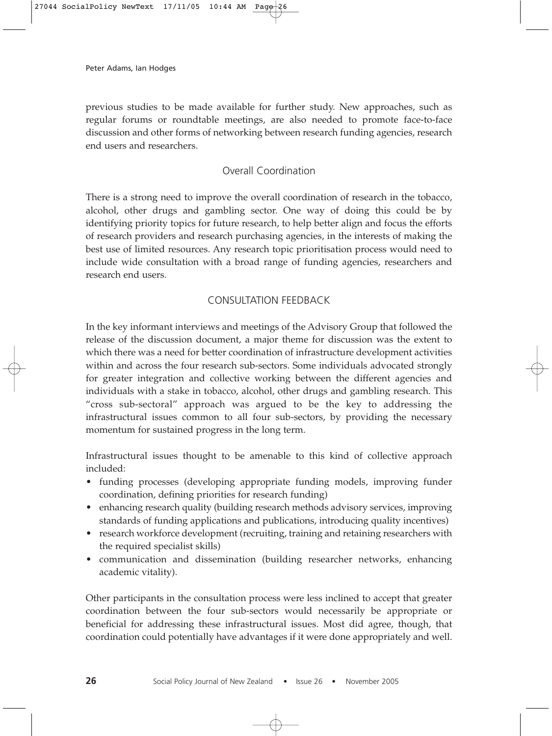previous studies to be made available for further study. New approaches, such as regular forums or roundtable meetings, are also needed to promote face-to-face discussion and other forms of networking between research funding agencies, research end users and researchers.

# Overall Coordination

There is a strong need to improve the overall coordination of research in the tobacco, alcohol, other drugs and gambling sector. One way of doing this could be by identifying priority topics for future research, to help better align and focus the efforts of research providers and research purchasing agencies, in the interests of making the best use of limited resources. Any research topic prioritisation process would need to include wide consultation with a broad range of funding agencies, researchers and research end users.

# CONSULTATION FEEDBACK

In the key informant interviews and meetings of the Advisory Group that followed the release of the discussion document, a major theme for discussion was the extent to which there was a need for better coordination of infrastructure development activities within and across the four research sub-sectors. Some individuals advocated strongly for greater integration and collective working between the different agencies and individuals with a stake in tobacco, alcohol, other drugs and gambling research. This "cross sub-sectoral" approach was argued to be the key to addressing the infrastructural issues common to all four sub-sectors, by providing the necessary momentum for sustained progress in the long term.

Infrastructural issues thought to be amenable to this kind of collective approach included:

- funding processes (developing appropriate funding models, improving funder coordination, defining priorities for research funding)
- enhancing research quality (building research methods advisory services, improving standards of funding applications and publications, introducing quality incentives)
- research workforce development (recruiting, training and retaining researchers with the required specialist skills)
- communication and dissemination (building researcher networks, enhancing academic vitality).

Other participants in the consultation process were less inclined to accept that greater coordination between the four sub-sectors would necessarily be appropriate or beneficial for addressing these infrastructural issues. Most did agree, though, that coordination could potentially have advantages if it were done appropriately and well.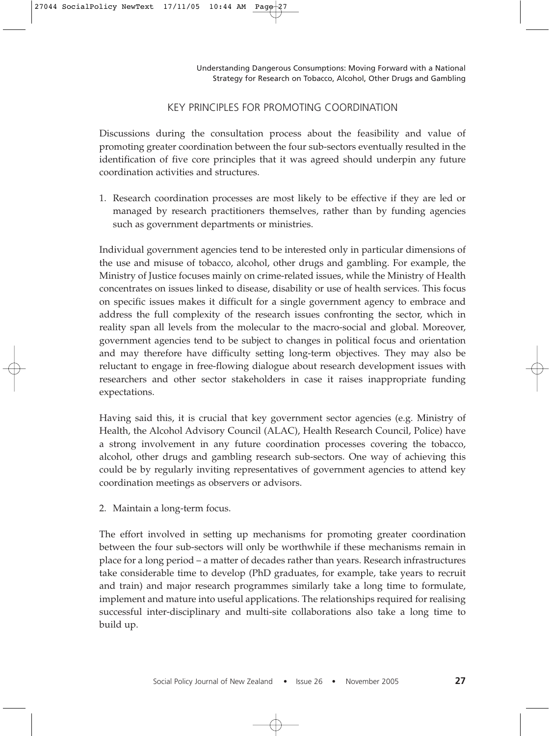### KEY PRINCIPLES FOR PROMOTING COORDINATION

Discussions during the consultation process about the feasibility and value of promoting greater coordination between the four sub-sectors eventually resulted in the identification of five core principles that it was agreed should underpin any future coordination activities and structures.

1. Research coordination processes are most likely to be effective if they are led or managed by research practitioners themselves, rather than by funding agencies such as government departments or ministries.

Individual government agencies tend to be interested only in particular dimensions of the use and misuse of tobacco, alcohol, other drugs and gambling. For example, the Ministry of Justice focuses mainly on crime-related issues, while the Ministry of Health concentrates on issues linked to disease, disability or use of health services. This focus on specific issues makes it difficult for a single government agency to embrace and address the full complexity of the research issues confronting the sector, which in reality span all levels from the molecular to the macro-social and global. Moreover, government agencies tend to be subject to changes in political focus and orientation and may therefore have difficulty setting long-term objectives. They may also be reluctant to engage in free-flowing dialogue about research development issues with researchers and other sector stakeholders in case it raises inappropriate funding expectations.

Having said this, it is crucial that key government sector agencies (e.g. Ministry of Health, the Alcohol Advisory Council (ALAC), Health Research Council, Police) have a strong involvement in any future coordination processes covering the tobacco, alcohol, other drugs and gambling research sub-sectors. One way of achieving this could be by regularly inviting representatives of government agencies to attend key coordination meetings as observers or advisors.

2. Maintain a long-term focus.

The effort involved in setting up mechanisms for promoting greater coordination between the four sub-sectors will only be worthwhile if these mechanisms remain in place for a long period – a matter of decades rather than years. Research infrastructures take considerable time to develop (PhD graduates, for example, take years to recruit and train) and major research programmes similarly take a long time to formulate, implement and mature into useful applications. The relationships required for realising successful inter-disciplinary and multi-site collaborations also take a long time to build up.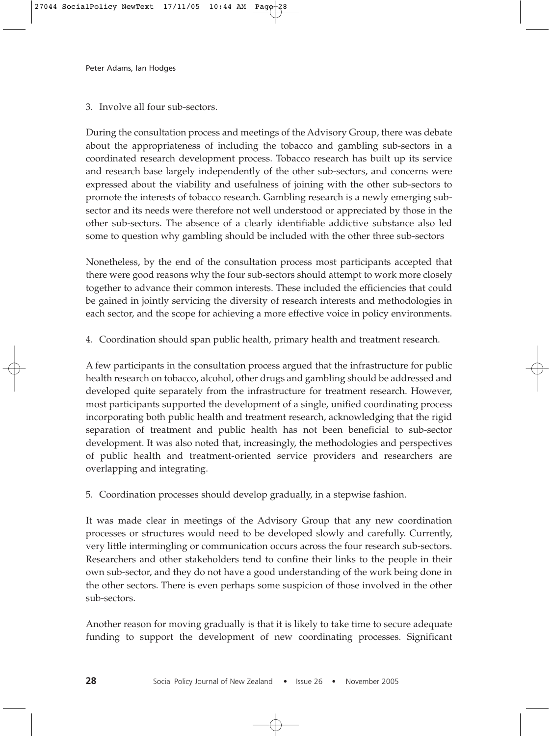3. Involve all four sub-sectors.

During the consultation process and meetings of the Advisory Group, there was debate about the appropriateness of including the tobacco and gambling sub-sectors in a coordinated research development process. Tobacco research has built up its service and research base largely independently of the other sub-sectors, and concerns were expressed about the viability and usefulness of joining with the other sub-sectors to promote the interests of tobacco research. Gambling research is a newly emerging subsector and its needs were therefore not well understood or appreciated by those in the other sub-sectors. The absence of a clearly identifiable addictive substance also led some to question why gambling should be included with the other three sub-sectors

Nonetheless, by the end of the consultation process most participants accepted that there were good reasons why the four sub-sectors should attempt to work more closely together to advance their common interests. These included the efficiencies that could be gained in jointly servicing the diversity of research interests and methodologies in each sector, and the scope for achieving a more effective voice in policy environments.

4. Coordination should span public health, primary health and treatment research.

A few participants in the consultation process argued that the infrastructure for public health research on tobacco, alcohol, other drugs and gambling should be addressed and developed quite separately from the infrastructure for treatment research. However, most participants supported the development of a single, unified coordinating process incorporating both public health and treatment research, acknowledging that the rigid separation of treatment and public health has not been beneficial to sub-sector development. It was also noted that, increasingly, the methodologies and perspectives of public health and treatment-oriented service providers and researchers are overlapping and integrating.

5. Coordination processes should develop gradually, in a stepwise fashion.

It was made clear in meetings of the Advisory Group that any new coordination processes or structures would need to be developed slowly and carefully. Currently, very little intermingling or communication occurs across the four research sub-sectors. Researchers and other stakeholders tend to confine their links to the people in their own sub-sector, and they do not have a good understanding of the work being done in the other sectors. There is even perhaps some suspicion of those involved in the other sub-sectors.

Another reason for moving gradually is that it is likely to take time to secure adequate funding to support the development of new coordinating processes. Significant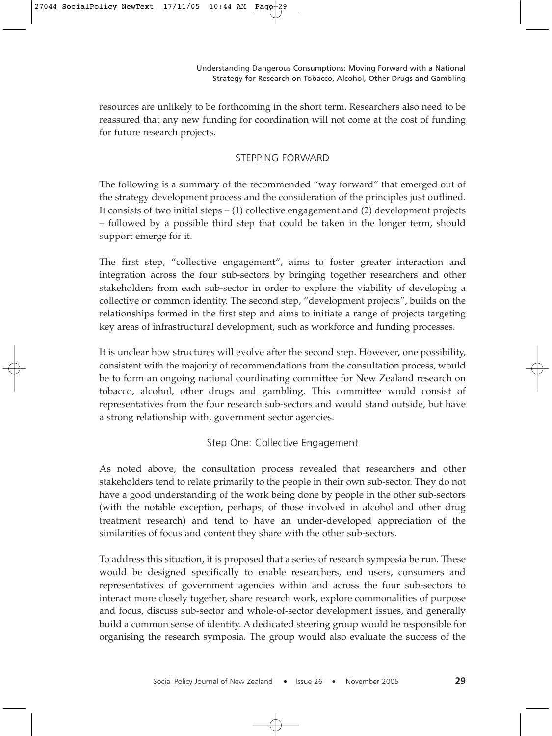resources are unlikely to be forthcoming in the short term. Researchers also need to be reassured that any new funding for coordination will not come at the cost of funding for future research projects.

# STEPPING FORWARD

The following is a summary of the recommended "way forward" that emerged out of the strategy development process and the consideration of the principles just outlined. It consists of two initial steps  $- (1)$  collective engagement and  $(2)$  development projects – followed by a possible third step that could be taken in the longer term, should support emerge for it.

The first step, "collective engagement", aims to foster greater interaction and integration across the four sub-sectors by bringing together researchers and other stakeholders from each sub-sector in order to explore the viability of developing a collective or common identity. The second step, "development projects", builds on the relationships formed in the first step and aims to initiate a range of projects targeting key areas of infrastructural development, such as workforce and funding processes.

It is unclear how structures will evolve after the second step. However, one possibility, consistent with the majority of recommendations from the consultation process, would be to form an ongoing national coordinating committee for New Zealand research on tobacco, alcohol, other drugs and gambling. This committee would consist of representatives from the four research sub-sectors and would stand outside, but have a strong relationship with, government sector agencies.

# Step One: Collective Engagement

As noted above, the consultation process revealed that researchers and other stakeholders tend to relate primarily to the people in their own sub-sector. They do not have a good understanding of the work being done by people in the other sub-sectors (with the notable exception, perhaps, of those involved in alcohol and other drug treatment research) and tend to have an under-developed appreciation of the similarities of focus and content they share with the other sub-sectors.

To address this situation, it is proposed that a series of research symposia be run. These would be designed specifically to enable researchers, end users, consumers and representatives of government agencies within and across the four sub-sectors to interact more closely together, share research work, explore commonalities of purpose and focus, discuss sub-sector and whole-of-sector development issues, and generally build a common sense of identity. A dedicated steering group would be responsible for organising the research symposia. The group would also evaluate the success of the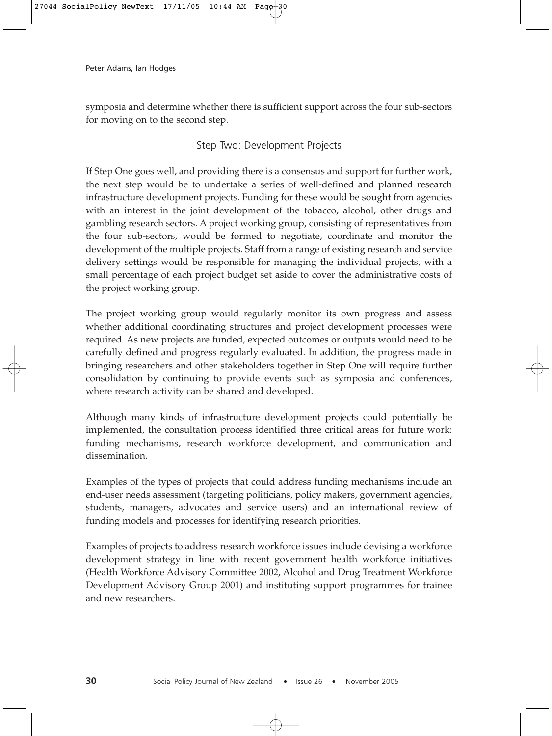symposia and determine whether there is sufficient support across the four sub-sectors for moving on to the second step.

# Step Two: Development Projects

If Step One goes well, and providing there is a consensus and support for further work, the next step would be to undertake a series of well-defined and planned research infrastructure development projects. Funding for these would be sought from agencies with an interest in the joint development of the tobacco, alcohol, other drugs and gambling research sectors. A project working group, consisting of representatives from the four sub-sectors, would be formed to negotiate, coordinate and monitor the development of the multiple projects. Staff from a range of existing research and service delivery settings would be responsible for managing the individual projects, with a small percentage of each project budget set aside to cover the administrative costs of the project working group.

The project working group would regularly monitor its own progress and assess whether additional coordinating structures and project development processes were required. As new projects are funded, expected outcomes or outputs would need to be carefully defined and progress regularly evaluated. In addition, the progress made in bringing researchers and other stakeholders together in Step One will require further consolidation by continuing to provide events such as symposia and conferences, where research activity can be shared and developed.

Although many kinds of infrastructure development projects could potentially be implemented, the consultation process identified three critical areas for future work: funding mechanisms, research workforce development, and communication and dissemination.

Examples of the types of projects that could address funding mechanisms include an end-user needs assessment (targeting politicians, policy makers, government agencies, students, managers, advocates and service users) and an international review of funding models and processes for identifying research priorities.

Examples of projects to address research workforce issues include devising a workforce development strategy in line with recent government health workforce initiatives (Health Workforce Advisory Committee 2002, Alcohol and Drug Treatment Workforce Development Advisory Group 2001) and instituting support programmes for trainee and new researchers.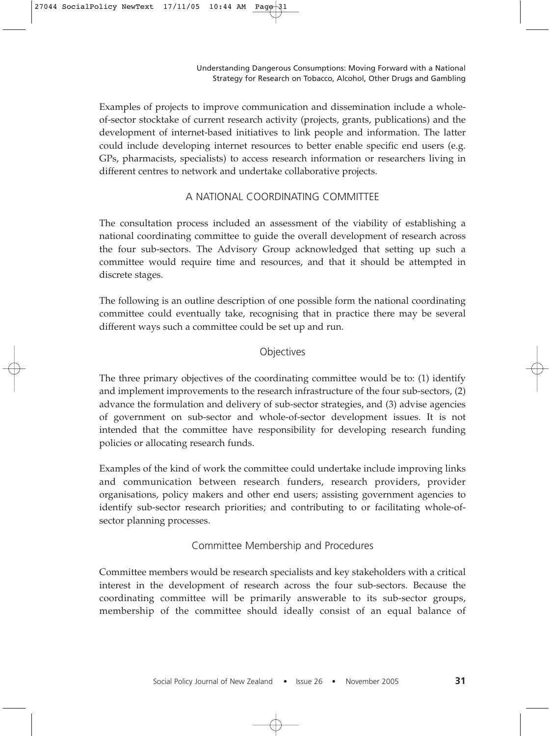Examples of projects to improve communication and dissemination include a wholeof-sector stocktake of current research activity (projects, grants, publications) and the development of internet-based initiatives to link people and information. The latter could include developing internet resources to better enable specific end users (e.g. GPs, pharmacists, specialists) to access research information or researchers living in different centres to network and undertake collaborative projects.

### A NATIONAL COORDINATING COMMITTEE

The consultation process included an assessment of the viability of establishing a national coordinating committee to guide the overall development of research across the four sub-sectors. The Advisory Group acknowledged that setting up such a committee would require time and resources, and that it should be attempted in discrete stages.

The following is an outline description of one possible form the national coordinating committee could eventually take, recognising that in practice there may be several different ways such a committee could be set up and run.

# **Objectives**

The three primary objectives of the coordinating committee would be to: (1) identify and implement improvements to the research infrastructure of the four sub-sectors, (2) advance the formulation and delivery of sub-sector strategies, and (3) advise agencies of government on sub-sector and whole-of-sector development issues. It is not intended that the committee have responsibility for developing research funding policies or allocating research funds.

Examples of the kind of work the committee could undertake include improving links and communication between research funders, research providers, provider organisations, policy makers and other end users; assisting government agencies to identify sub-sector research priorities; and contributing to or facilitating whole-ofsector planning processes.

# Committee Membership and Procedures

Committee members would be research specialists and key stakeholders with a critical interest in the development of research across the four sub-sectors. Because the coordinating committee will be primarily answerable to its sub-sector groups, membership of the committee should ideally consist of an equal balance of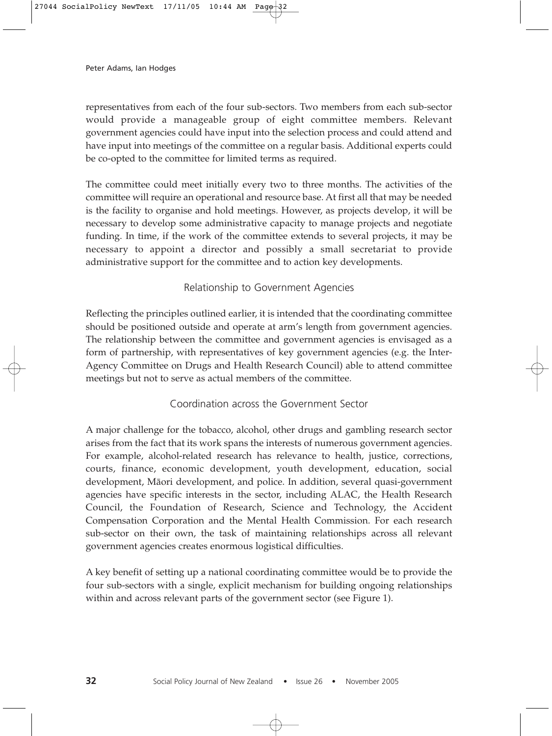representatives from each of the four sub-sectors. Two members from each sub-sector would provide a manageable group of eight committee members. Relevant government agencies could have input into the selection process and could attend and have input into meetings of the committee on a regular basis. Additional experts could be co-opted to the committee for limited terms as required.

The committee could meet initially every two to three months. The activities of the committee will require an operational and resource base. At first all that may be needed is the facility to organise and hold meetings. However, as projects develop, it will be necessary to develop some administrative capacity to manage projects and negotiate funding. In time, if the work of the committee extends to several projects, it may be necessary to appoint a director and possibly a small secretariat to provide administrative support for the committee and to action key developments.

# Relationship to Government Agencies

Reflecting the principles outlined earlier, it is intended that the coordinating committee should be positioned outside and operate at arm's length from government agencies. The relationship between the committee and government agencies is envisaged as a form of partnership, with representatives of key government agencies (e.g. the Inter-Agency Committee on Drugs and Health Research Council) able to attend committee meetings but not to serve as actual members of the committee.

# Coordination across the Government Sector

A major challenge for the tobacco, alcohol, other drugs and gambling research sector arises from the fact that its work spans the interests of numerous government agencies. For example, alcohol-related research has relevance to health, justice, corrections, courts, finance, economic development, youth development, education, social development, Mäori development, and police. In addition, several quasi-government agencies have specific interests in the sector, including ALAC, the Health Research Council, the Foundation of Research, Science and Technology, the Accident Compensation Corporation and the Mental Health Commission. For each research sub-sector on their own, the task of maintaining relationships across all relevant government agencies creates enormous logistical difficulties.

A key benefit of setting up a national coordinating committee would be to provide the four sub-sectors with a single, explicit mechanism for building ongoing relationships within and across relevant parts of the government sector (see Figure 1).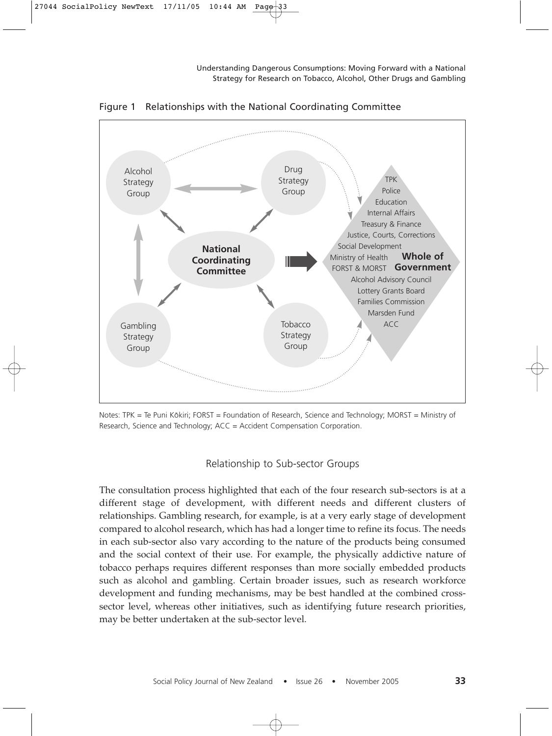

Figure 1 Relationships with the National Coordinating Committee

Notes: TPK = Te Puni Kōkiri; FORST = Foundation of Research, Science and Technology; MORST = Ministry of Research, Science and Technology; ACC = Accident Compensation Corporation.

# Relationship to Sub-sector Groups

The consultation process highlighted that each of the four research sub-sectors is at a different stage of development, with different needs and different clusters of relationships. Gambling research, for example, is at a very early stage of development compared to alcohol research, which has had a longer time to refine its focus. The needs in each sub-sector also vary according to the nature of the products being consumed and the social context of their use. For example, the physically addictive nature of tobacco perhaps requires different responses than more socially embedded products such as alcohol and gambling. Certain broader issues, such as research workforce development and funding mechanisms, may be best handled at the combined crosssector level, whereas other initiatives, such as identifying future research priorities, may be better undertaken at the sub-sector level.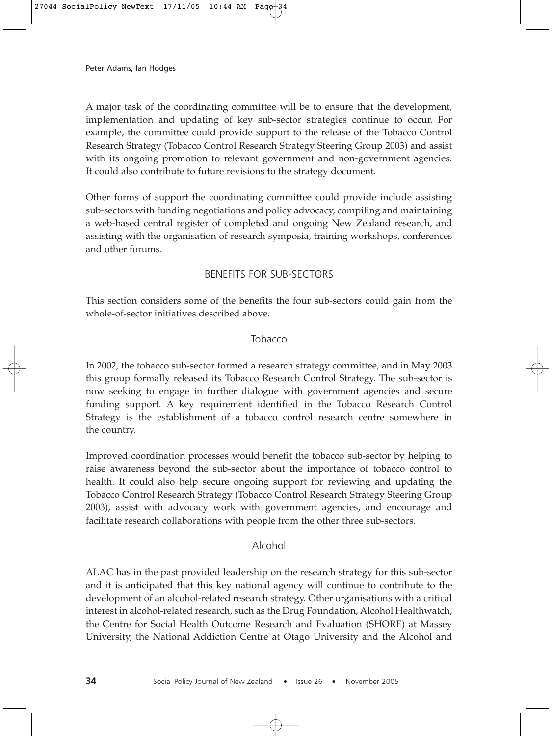A major task of the coordinating committee will be to ensure that the development, implementation and updating of key sub-sector strategies continue to occur. For example, the committee could provide support to the release of the Tobacco Control Research Strategy (Tobacco Control Research Strategy Steering Group 2003) and assist with its ongoing promotion to relevant government and non-government agencies. It could also contribute to future revisions to the strategy document.

Other forms of support the coordinating committee could provide include assisting sub-sectors with funding negotiations and policy advocacy, compiling and maintaining a web-based central register of completed and ongoing New Zealand research, and assisting with the organisation of research symposia, training workshops, conferences and other forums.

# BENEFITS FOR SUB-SECTORS

This section considers some of the benefits the four sub-sectors could gain from the whole-of-sector initiatives described above.

# Tobacco

In 2002, the tobacco sub-sector formed a research strategy committee, and in May 2003 this group formally released its Tobacco Research Control Strategy. The sub-sector is now seeking to engage in further dialogue with government agencies and secure funding support. A key requirement identified in the Tobacco Research Control Strategy is the establishment of a tobacco control research centre somewhere in the country.

Improved coordination processes would benefit the tobacco sub-sector by helping to raise awareness beyond the sub-sector about the importance of tobacco control to health. It could also help secure ongoing support for reviewing and updating the Tobacco Control Research Strategy (Tobacco Control Research Strategy Steering Group 2003), assist with advocacy work with government agencies, and encourage and facilitate research collaborations with people from the other three sub-sectors.

# Alcohol

ALAC has in the past provided leadership on the research strategy for this sub-sector and it is anticipated that this key national agency will continue to contribute to the development of an alcohol-related research strategy. Other organisations with a critical interest in alcohol-related research, such as the Drug Foundation, Alcohol Healthwatch, the Centre for Social Health Outcome Research and Evaluation (SHORE) at Massey University, the National Addiction Centre at Otago University and the Alcohol and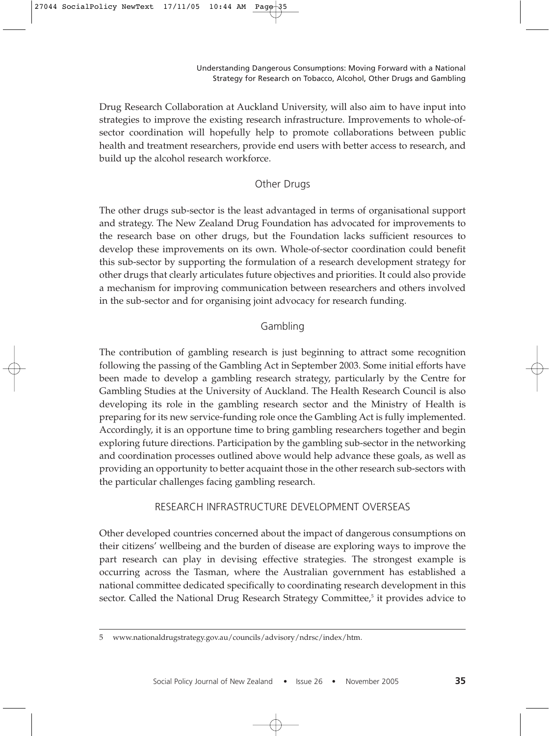Drug Research Collaboration at Auckland University, will also aim to have input into strategies to improve the existing research infrastructure. Improvements to whole-ofsector coordination will hopefully help to promote collaborations between public health and treatment researchers, provide end users with better access to research, and build up the alcohol research workforce.

# Other Drugs

The other drugs sub-sector is the least advantaged in terms of organisational support and strategy. The New Zealand Drug Foundation has advocated for improvements to the research base on other drugs, but the Foundation lacks sufficient resources to develop these improvements on its own. Whole-of-sector coordination could benefit this sub-sector by supporting the formulation of a research development strategy for other drugs that clearly articulates future objectives and priorities. It could also provide a mechanism for improving communication between researchers and others involved in the sub-sector and for organising joint advocacy for research funding.

# Gambling

The contribution of gambling research is just beginning to attract some recognition following the passing of the Gambling Act in September 2003. Some initial efforts have been made to develop a gambling research strategy, particularly by the Centre for Gambling Studies at the University of Auckland. The Health Research Council is also developing its role in the gambling research sector and the Ministry of Health is preparing for its new service-funding role once the Gambling Act is fully implemented. Accordingly, it is an opportune time to bring gambling researchers together and begin exploring future directions. Participation by the gambling sub-sector in the networking and coordination processes outlined above would help advance these goals, as well as providing an opportunity to better acquaint those in the other research sub-sectors with the particular challenges facing gambling research.

# RESEARCH INFRASTRUCTURE DEVELOPMENT OVERSEAS

Other developed countries concerned about the impact of dangerous consumptions on their citizens' wellbeing and the burden of disease are exploring ways to improve the part research can play in devising effective strategies. The strongest example is occurring across the Tasman, where the Australian government has established a national committee dedicated specifically to coordinating research development in this sector. Called the National Drug Research Strategy Committee,<sup>5</sup> it provides advice to

<sup>5</sup> www.nationaldrugstrategy.gov.au/councils/advisory/ndrsc/index/htm.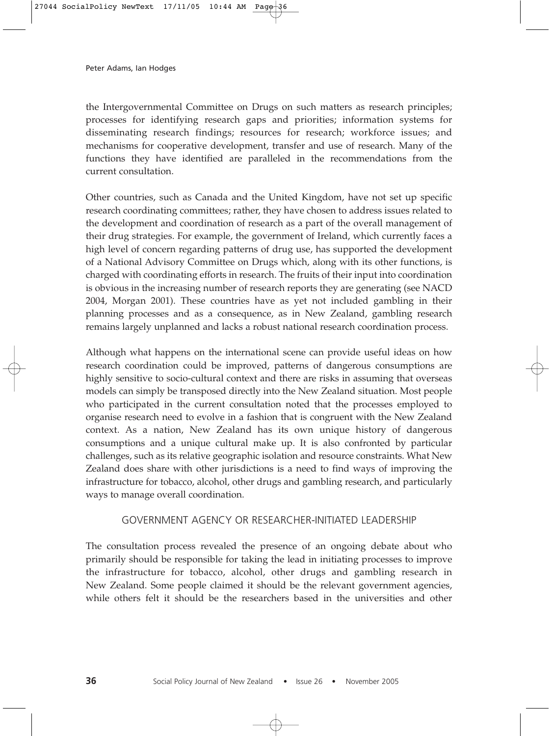the Intergovernmental Committee on Drugs on such matters as research principles; processes for identifying research gaps and priorities; information systems for disseminating research findings; resources for research; workforce issues; and mechanisms for cooperative development, transfer and use of research. Many of the functions they have identified are paralleled in the recommendations from the current consultation.

Other countries, such as Canada and the United Kingdom, have not set up specific research coordinating committees; rather, they have chosen to address issues related to the development and coordination of research as a part of the overall management of their drug strategies. For example, the government of Ireland, which currently faces a high level of concern regarding patterns of drug use, has supported the development of a National Advisory Committee on Drugs which, along with its other functions, is charged with coordinating efforts in research. The fruits of their input into coordination is obvious in the increasing number of research reports they are generating (see NACD 2004, Morgan 2001). These countries have as yet not included gambling in their planning processes and as a consequence, as in New Zealand, gambling research remains largely unplanned and lacks a robust national research coordination process.

Although what happens on the international scene can provide useful ideas on how research coordination could be improved, patterns of dangerous consumptions are highly sensitive to socio-cultural context and there are risks in assuming that overseas models can simply be transposed directly into the New Zealand situation. Most people who participated in the current consultation noted that the processes employed to organise research need to evolve in a fashion that is congruent with the New Zealand context. As a nation, New Zealand has its own unique history of dangerous consumptions and a unique cultural make up. It is also confronted by particular challenges, such as its relative geographic isolation and resource constraints. What New Zealand does share with other jurisdictions is a need to find ways of improving the infrastructure for tobacco, alcohol, other drugs and gambling research, and particularly ways to manage overall coordination.

### GOVERNMENT AGENCY OR RESEARCHER-INITIATED LEADERSHIP

The consultation process revealed the presence of an ongoing debate about who primarily should be responsible for taking the lead in initiating processes to improve the infrastructure for tobacco, alcohol, other drugs and gambling research in New Zealand. Some people claimed it should be the relevant government agencies, while others felt it should be the researchers based in the universities and other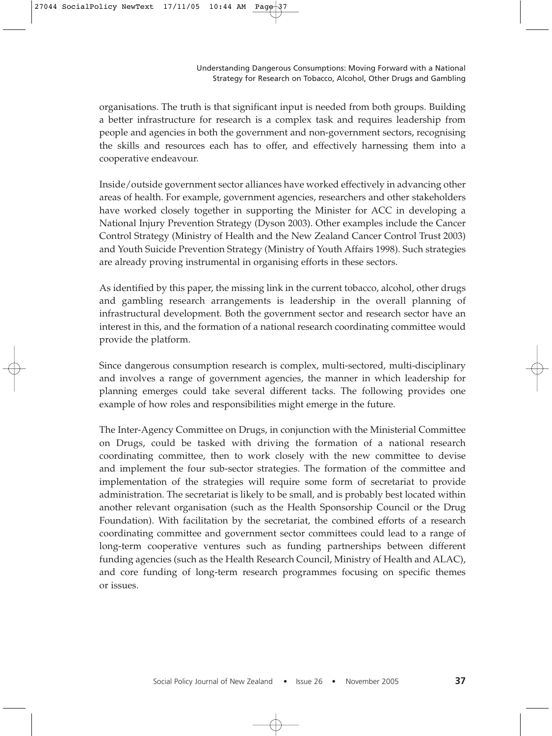organisations. The truth is that significant input is needed from both groups. Building a better infrastructure for research is a complex task and requires leadership from people and agencies in both the government and non-government sectors, recognising the skills and resources each has to offer, and effectively harnessing them into a cooperative endeavour.

Inside/outside government sector alliances have worked effectively in advancing other areas of health. For example, government agencies, researchers and other stakeholders have worked closely together in supporting the Minister for ACC in developing a National Injury Prevention Strategy (Dyson 2003). Other examples include the Cancer Control Strategy (Ministry of Health and the New Zealand Cancer Control Trust 2003) and Youth Suicide Prevention Strategy (Ministry of Youth Affairs 1998). Such strategies are already proving instrumental in organising efforts in these sectors.

As identified by this paper, the missing link in the current tobacco, alcohol, other drugs and gambling research arrangements is leadership in the overall planning of infrastructural development. Both the government sector and research sector have an interest in this, and the formation of a national research coordinating committee would provide the platform.

Since dangerous consumption research is complex, multi-sectored, multi-disciplinary and involves a range of government agencies, the manner in which leadership for planning emerges could take several different tacks. The following provides one example of how roles and responsibilities might emerge in the future.

The Inter-Agency Committee on Drugs, in conjunction with the Ministerial Committee on Drugs, could be tasked with driving the formation of a national research coordinating committee, then to work closely with the new committee to devise and implement the four sub-sector strategies. The formation of the committee and implementation of the strategies will require some form of secretariat to provide administration. The secretariat is likely to be small, and is probably best located within another relevant organisation (such as the Health Sponsorship Council or the Drug Foundation). With facilitation by the secretariat, the combined efforts of a research coordinating committee and government sector committees could lead to a range of long-term cooperative ventures such as funding partnerships between different funding agencies (such as the Health Research Council, Ministry of Health and ALAC), and core funding of long-term research programmes focusing on specific themes or issues.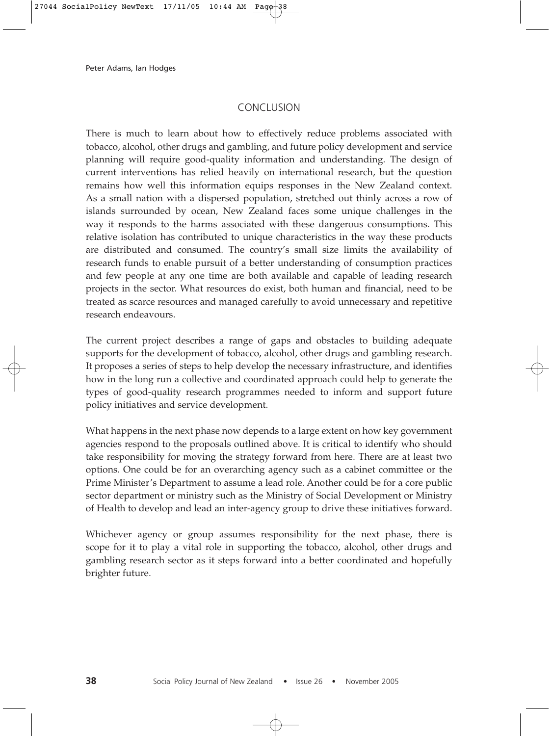# CONCLUSION

There is much to learn about how to effectively reduce problems associated with tobacco, alcohol, other drugs and gambling, and future policy development and service planning will require good-quality information and understanding. The design of current interventions has relied heavily on international research, but the question remains how well this information equips responses in the New Zealand context. As a small nation with a dispersed population, stretched out thinly across a row of islands surrounded by ocean, New Zealand faces some unique challenges in the way it responds to the harms associated with these dangerous consumptions. This relative isolation has contributed to unique characteristics in the way these products are distributed and consumed. The country's small size limits the availability of research funds to enable pursuit of a better understanding of consumption practices and few people at any one time are both available and capable of leading research projects in the sector. What resources do exist, both human and financial, need to be treated as scarce resources and managed carefully to avoid unnecessary and repetitive research endeavours.

The current project describes a range of gaps and obstacles to building adequate supports for the development of tobacco, alcohol, other drugs and gambling research. It proposes a series of steps to help develop the necessary infrastructure, and identifies how in the long run a collective and coordinated approach could help to generate the types of good-quality research programmes needed to inform and support future policy initiatives and service development.

What happens in the next phase now depends to a large extent on how key government agencies respond to the proposals outlined above. It is critical to identify who should take responsibility for moving the strategy forward from here. There are at least two options. One could be for an overarching agency such as a cabinet committee or the Prime Minister's Department to assume a lead role. Another could be for a core public sector department or ministry such as the Ministry of Social Development or Ministry of Health to develop and lead an inter-agency group to drive these initiatives forward.

Whichever agency or group assumes responsibility for the next phase, there is scope for it to play a vital role in supporting the tobacco, alcohol, other drugs and gambling research sector as it steps forward into a better coordinated and hopefully brighter future.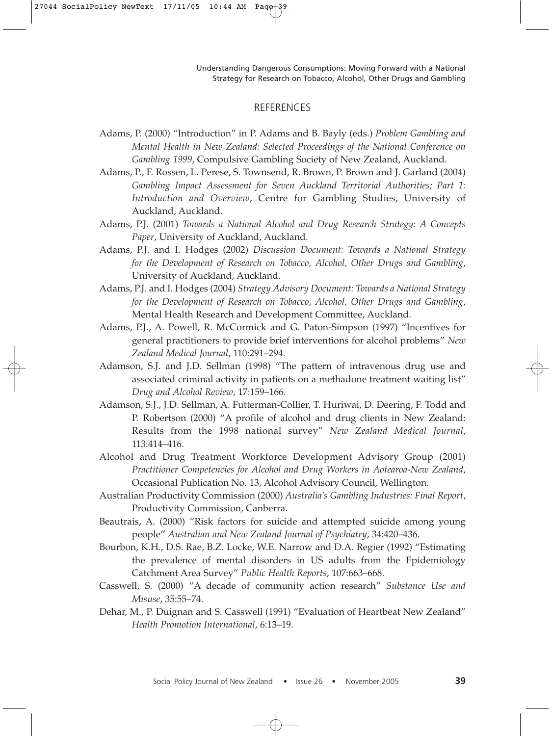#### **REFERENCES**

- Adams, P. (2000) "Introduction" in P. Adams and B. Bayly (eds.) *Problem Gambling and Mental Health in New Zealand: Selected Proceedings of the National Conference on Gambling 1999*, Compulsive Gambling Society of New Zealand, Auckland.
- Adams, P., F. Rossen, L. Perese, S. Townsend, R. Brown, P. Brown and J. Garland (2004) *Gambling Impact Assessment for Seven Auckland Territorial Authorities; Part 1: Introduction and Overview*, Centre for Gambling Studies, University of Auckland, Auckland.
- Adams, P.J. (2001) *Towards a National Alcohol and Drug Research Strategy: A Concepts Paper*, University of Auckland, Auckland.
- Adams, P.J. and I. Hodges (2002) *Discussion Document: Towards a National Strategy for the Development of Research on Tobacco, Alcohol, Other Drugs and Gambling*, University of Auckland, Auckland.
- Adams, P.J. and I. Hodges (2004) *Strategy Advisory Document: Towards a National Strategy for the Development of Research on Tobacco, Alcohol, Other Drugs and Gambling*, Mental Health Research and Development Committee, Auckland.
- Adams, P.J., A. Powell, R. McCormick and G. Paton-Simpson (1997) "Incentives for general practitioners to provide brief interventions for alcohol problems" *New Zealand Medical Journal*, 110:291–294.
- Adamson, S.J. and J.D. Sellman (1998) "The pattern of intravenous drug use and associated criminal activity in patients on a methadone treatment waiting list" *Drug and Alcohol Review*, 17:159–166.
- Adamson, S.J., J.D. Sellman, A. Futterman-Collier, T. Huriwai, D. Deering, F. Todd and P. Robertson (2000) "A profile of alcohol and drug clients in New Zealand: Results from the 1998 national survey" *New Zealand Medical Journal*, 113:414–416.
- Alcohol and Drug Treatment Workforce Development Advisory Group (2001) *Practitioner Competencies for Alcohol and Drug Workers in Aotearoa-New Zealand*, Occasional Publication No. 13, Alcohol Advisory Council, Wellington.
- Australian Productivity Commission (2000) *Australia's Gambling Industries: Final Report*, Productivity Commission, Canberra.
- Beautrais, A. (2000) "Risk factors for suicide and attempted suicide among young people" *Australian and New Zealand Journal of Psychiatry*, 34:420–436.
- Bourbon, K.H., D.S. Rae, B.Z. Locke, W.E. Narrow and D.A. Regier (1992) "Estimating the prevalence of mental disorders in US adults from the Epidemiology Catchment Area Survey" *Public Health Reports*, 107:663–668.
- Casswell, S. (2000) "A decade of community action research" *Substance Use and Misuse*, 35:55–74.
- Dehar, M., P. Duignan and S. Casswell (1991) "Evaluation of Heartbeat New Zealand" *Health Promotion International*, 6:13–19.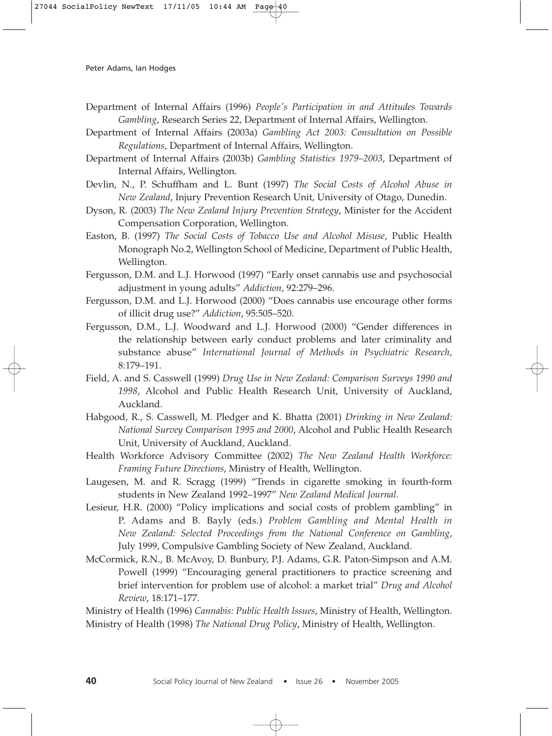- Department of Internal Affairs (1996) *People's Participation in and Attitudes Towards Gambling*, Research Series 22, Department of Internal Affairs, Wellington.
- Department of Internal Affairs (2003a) *Gambling Act 2003: Consultation on Possible Regulations*, Department of Internal Affairs, Wellington.
- Department of Internal Affairs (2003b) *Gambling Statistics 1979–2003*, Department of Internal Affairs, Wellington.
- Devlin, N., P. Schuffham and L. Bunt (1997) *The Social Costs of Alcohol Abuse in New Zealand*, Injury Prevention Research Unit, University of Otago, Dunedin.
- Dyson, R. (2003) *The New Zealand Injury Prevention Strategy*, Minister for the Accident Compensation Corporation, Wellington.
- Easton, B. (1997) *The Social Costs of Tobacco Use and Alcohol Misuse*, Public Health Monograph No.2, Wellington School of Medicine, Department of Public Health, Wellington.
- Fergusson, D.M. and L.J. Horwood (1997) "Early onset cannabis use and psychosocial adjustment in young adults" *Addiction*, 92:279–296.
- Fergusson, D.M. and L.J. Horwood (2000) "Does cannabis use encourage other forms of illicit drug use?" *Addiction*, 95:505–520.
- Fergusson, D.M., L.J. Woodward and L.J. Horwood (2000) "Gender differences in the relationship between early conduct problems and later criminality and substance abuse" *International Journal of Methods in Psychiatric Research*, 8:179–191.
- Field, A. and S. Casswell (1999) *Drug Use in New Zealand: Comparison Surveys 1990 and 1998*, Alcohol and Public Health Research Unit, University of Auckland, Auckland.
- Habgood, R., S. Casswell, M. Pledger and K. Bhatta (2001) *Drinking in New Zealand: National Survey Comparison 1995 and 2000*, Alcohol and Public Health Research Unit, University of Auckland, Auckland.
- Health Workforce Advisory Committee (2002) *The New Zealand Health Workforce: Framing Future Directions*, Ministry of Health, Wellington.
- Laugesen, M. and R. Scragg (1999) "Trends in cigarette smoking in fourth-form students in New Zealand 1992–1997" *New Zealand Medical Journal*.
- Lesieur, H.R. (2000) "Policy implications and social costs of problem gambling" in P. Adams and B. Bayly (eds.) *Problem Gambling and Mental Health in New Zealand: Selected Proceedings from the National Conference on Gambling*, July 1999, Compulsive Gambling Society of New Zealand, Auckland.
- McCormick, R.N., B. McAvoy, D. Bunbury, P.J. Adams, G.R. Paton-Simpson and A.M. Powell (1999) "Encouraging general practitioners to practice screening and brief intervention for problem use of alcohol: a market trial" *Drug and Alcohol Review*, 18:171–177.

Ministry of Health (1996) *Cannabis: Public Health Issues*, Ministry of Health, Wellington. Ministry of Health (1998) *The National Drug Policy*, Ministry of Health, Wellington.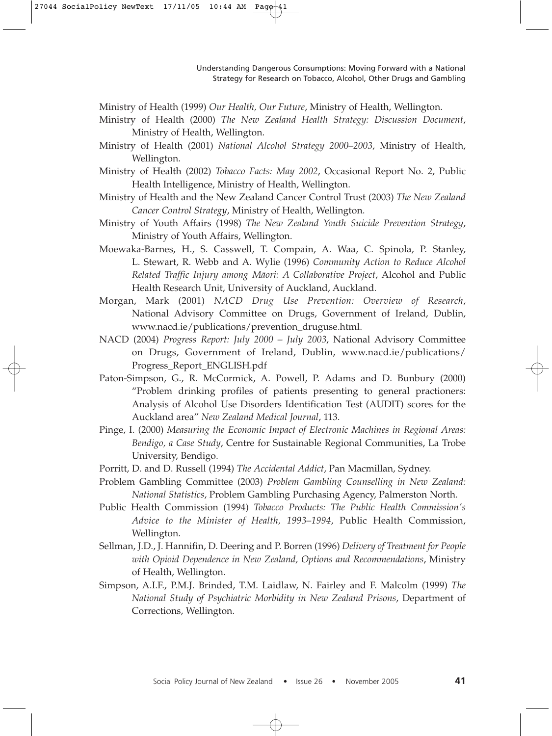Ministry of Health (1999) *Our Health, Our Future*, Ministry of Health, Wellington.

- Ministry of Health (2000) *The New Zealand Health Strategy: Discussion Document*, Ministry of Health, Wellington.
- Ministry of Health (2001) *National Alcohol Strategy 2000–2003*, Ministry of Health, Wellington.
- Ministry of Health (2002) *Tobacco Facts: May 2002*, Occasional Report No. 2, Public Health Intelligence, Ministry of Health, Wellington.
- Ministry of Health and the New Zealand Cancer Control Trust (2003) *The New Zealand Cancer Control Strategy*, Ministry of Health, Wellington.
- Ministry of Youth Affairs (1998) *The New Zealand Youth Suicide Prevention Strategy*, Ministry of Youth Affairs, Wellington.
- Moewaka-Barnes, H., S. Casswell, T. Compain, A. Waa, C. Spinola, P. Stanley, L. Stewart, R. Webb and A. Wylie (1996) *Community Action to Reduce Alcohol Related Traffic Injury among Mäori: A Collaborative Project*, Alcohol and Public Health Research Unit, University of Auckland, Auckland.
- Morgan, Mark (2001) *NACD Drug Use Prevention: Overview of Research*, National Advisory Committee on Drugs, Government of Ireland, Dublin, www.nacd.ie/publications/prevention\_druguse.html.
- NACD (2004) *Progress Report: July 2000 July 2003*, National Advisory Committee on Drugs, Government of Ireland, Dublin, www.nacd.ie/publications/ Progress\_Report\_ENGLISH.pdf
- Paton-Simpson, G., R. McCormick, A. Powell, P. Adams and D. Bunbury (2000) "Problem drinking profiles of patients presenting to general practioners: Analysis of Alcohol Use Disorders Identification Test (AUDIT) scores for the Auckland area" *New Zealand Medical Journal*, 113.
- Pinge, I. (2000) *Measuring the Economic Impact of Electronic Machines in Regional Areas: Bendigo, a Case Study*, Centre for Sustainable Regional Communities, La Trobe University, Bendigo.
- Porritt, D. and D. Russell (1994) *The Accidental Addict*, Pan Macmillan, Sydney.
- Problem Gambling Committee (2003) *Problem Gambling Counselling in New Zealand: National Statistics*, Problem Gambling Purchasing Agency, Palmerston North.
- Public Health Commission (1994) *Tobacco Products: The Public Health Commission's Advice to the Minister of Health, 1993–1994*, Public Health Commission, Wellington.
- Sellman, J.D., J. Hannifin, D. Deering and P. Borren (1996) *Delivery of Treatment for People with Opioid Dependence in New Zealand, Options and Recommendations*, Ministry of Health, Wellington.
- Simpson, A.I.F., P.M.J. Brinded, T.M. Laidlaw, N. Fairley and F. Malcolm (1999) *The National Study of Psychiatric Morbidity in New Zealand Prisons*, Department of Corrections, Wellington.